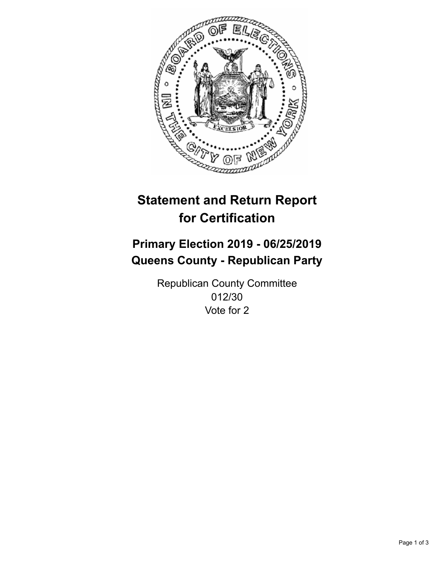

## **Statement and Return Report for Certification**

## **Primary Election 2019 - 06/25/2019 Queens County - Republican Party**

Republican County Committee 012/30 Vote for 2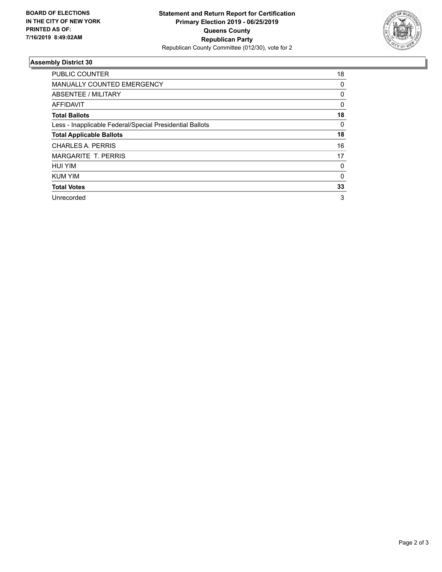

## **Assembly District 30**

| <b>PUBLIC COUNTER</b>                                    | 18       |
|----------------------------------------------------------|----------|
| <b>MANUALLY COUNTED EMERGENCY</b>                        | 0        |
| ABSENTEE / MILITARY                                      | 0        |
| AFFIDAVIT                                                | $\Omega$ |
| <b>Total Ballots</b>                                     | 18       |
| Less - Inapplicable Federal/Special Presidential Ballots | $\Omega$ |
| <b>Total Applicable Ballots</b>                          | 18       |
| CHARLES A. PERRIS                                        | 16       |
| <b>MARGARITE T. PERRIS</b>                               | 17       |
| <b>HUI YIM</b>                                           | 0        |
| <b>KUM YIM</b>                                           | 0        |
| <b>Total Votes</b>                                       | 33       |
| Unrecorded                                               | 3        |